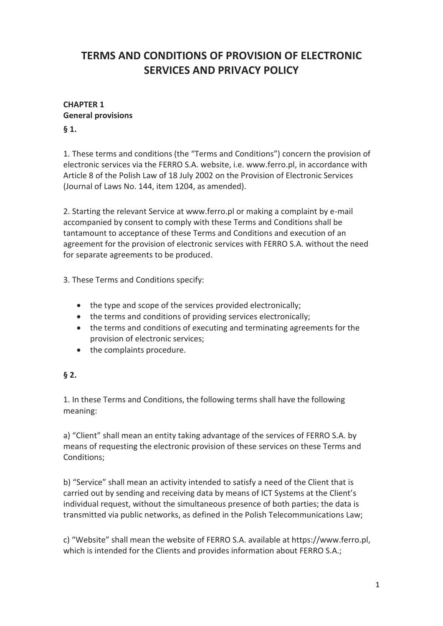# **TERMS AND CONDITIONS OF PROVISION OF ELECTRONIC SERVICES AND PRIVACY POLICY**

#### **CHAPTER 1 General provisions**

#### **§ 1.**

1. These terms and conditions (the "Terms and Conditions") concern the provision of electronic services via the FERRO S.A. website, i.e. www.ferro.pl, in accordance with Article 8 of the Polish Law of 18 July 2002 on the Provision of Electronic Services (Journal of Laws No. 144, item 1204, as amended).

2. Starting the relevant Service at www.ferro.pl or making a complaint by e-mail accompanied by consent to comply with these Terms and Conditions shall be tantamount to acceptance of these Terms and Conditions and execution of an agreement for the provision of electronic services with FERRO S.A. without the need for separate agreements to be produced.

3. These Terms and Conditions specify:

- the type and scope of the services provided electronically;
- the terms and conditions of providing services electronically;
- the terms and conditions of executing and terminating agreements for the provision of electronic services;
- the complaints procedure.

#### **§ 2.**

1. In these Terms and Conditions, the following terms shall have the following meaning:

a) "Client" shall mean an entity taking advantage of the services of FERRO S.A. by means of requesting the electronic provision of these services on these Terms and Conditions;

b) "Service" shall mean an activity intended to satisfy a need of the Client that is carried out by sending and receiving data by means of ICT Systems at the Client's individual request, without the simultaneous presence of both parties; the data is transmitted via public networks, as defined in the Polish Telecommunications Law;

c) "Website" shall mean the website of FERRO S.A. available at https://www.ferro.pl, which is intended for the Clients and provides information about FERRO S.A.;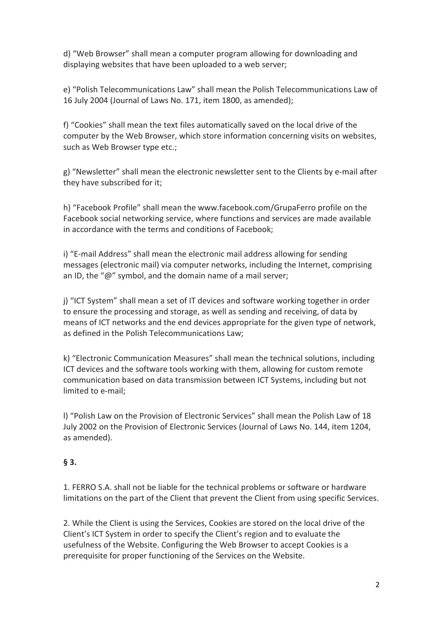d) "Web Browser" shall mean a computer program allowing for downloading and displaying websites that have been uploaded to a web server;

e) "Polish Telecommunications Law" shall mean the Polish Telecommunications Law of 16 July 2004 (Journal of Laws No. 171, item 1800, as amended);

f) "Cookies" shall mean the text files automatically saved on the local drive of the computer by the Web Browser, which store information concerning visits on websites, such as Web Browser type etc.;

g) "Newsletter" shall mean the electronic newsletter sent to the Clients by e-mail after they have subscribed for it;

h) "Facebook Profile" shall mean the www.facebook.com/GrupaFerro profile on the Facebook social networking service, where functions and services are made available in accordance with the terms and conditions of Facebook;

i) "E-mail Address" shall mean the electronic mail address allowing for sending messages (electronic mail) via computer networks, including the Internet, comprising an ID, the "@" symbol, and the domain name of a mail server;

j) "ICT System" shall mean a set of IT devices and software working together in order to ensure the processing and storage, as well as sending and receiving, of data by means of ICT networks and the end devices appropriate for the given type of network, as defined in the Polish Telecommunications Law;

k) "Electronic Communication Measures" shall mean the technical solutions, including ICT devices and the software tools working with them, allowing for custom remote communication based on data transmission between ICT Systems, including but not limited to e-mail;

l) "Polish Law on the Provision of Electronic Services" shall mean the Polish Law of 18 July 2002 on the Provision of Electronic Services (Journal of Laws No. 144, item 1204, as amended).

### **§ 3.**

1. FERRO S.A. shall not be liable for the technical problems or software or hardware limitations on the part of the Client that prevent the Client from using specific Services.

2. While the Client is using the Services, Cookies are stored on the local drive of the Client's ICT System in order to specify the Client's region and to evaluate the usefulness of the Website. Configuring the Web Browser to accept Cookies is a prerequisite for proper functioning of the Services on the Website.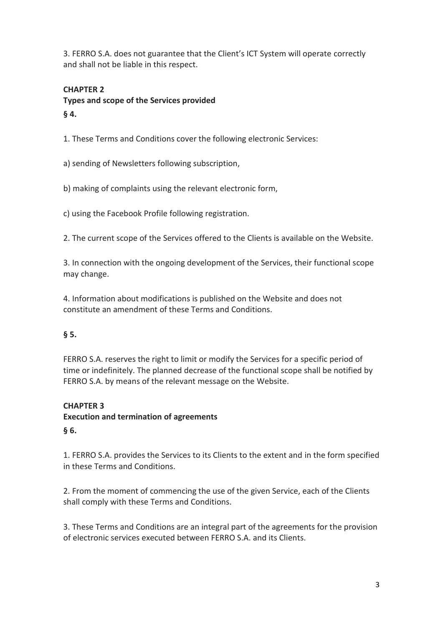3. FERRO S.A. does not guarantee that the Client's ICT System will operate correctly and shall not be liable in this respect.

#### **CHAPTER 2**

**Types and scope of the Services provided § 4.**

1. These Terms and Conditions cover the following electronic Services:

a) sending of Newsletters following subscription,

b) making of complaints using the relevant electronic form,

c) using the Facebook Profile following registration.

2. The current scope of the Services offered to the Clients is available on the Website.

3. In connection with the ongoing development of the Services, their functional scope may change.

4. Information about modifications is published on the Website and does not constitute an amendment of these Terms and Conditions.

#### **§ 5.**

FERRO S.A. reserves the right to limit or modify the Services for a specific period of time or indefinitely. The planned decrease of the functional scope shall be notified by FERRO S.A. by means of the relevant message on the Website.

#### **CHAPTER 3**

**Execution and termination of agreements § 6.**

1. FERRO S.A. provides the Services to its Clients to the extent and in the form specified in these Terms and Conditions.

2. From the moment of commencing the use of the given Service, each of the Clients shall comply with these Terms and Conditions.

3. These Terms and Conditions are an integral part of the agreements for the provision of electronic services executed between FERRO S.A. and its Clients.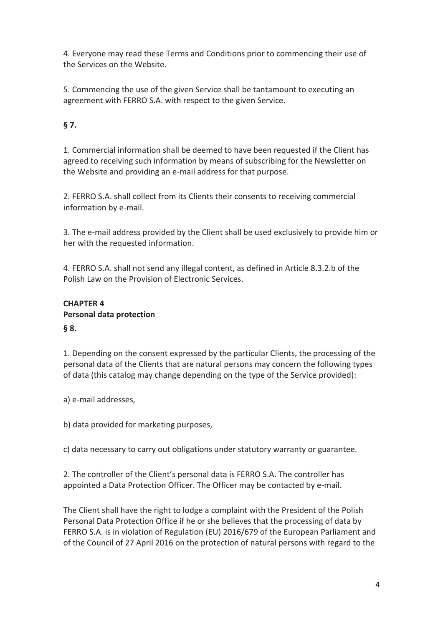4. Everyone may read these Terms and Conditions prior to commencing their use of the Services on the Website.

5. Commencing the use of the given Service shall be tantamount to executing an agreement with FERRO S.A. with respect to the given Service.

### **§ 7.**

1. Commercial information shall be deemed to have been requested if the Client has agreed to receiving such information by means of subscribing for the Newsletter on the Website and providing an e-mail address for that purpose.

2. FERRO S.A. shall collect from its Clients their consents to receiving commercial information by e-mail.

3. The e-mail address provided by the Client shall be used exclusively to provide him or her with the requested information.

4. FERRO S.A. shall not send any illegal content, as defined in Article 8.3.2.b of the Polish Law on the Provision of Electronic Services.

### **CHAPTER 4 Personal data protection § 8.**

1. Depending on the consent expressed by the particular Clients, the processing of the personal data of the Clients that are natural persons may concern the following types of data (this catalog may change depending on the type of the Service provided):

a) e-mail addresses,

b) data provided for marketing purposes,

c) data necessary to carry out obligations under statutory warranty or guarantee.

2. The controller of the Client's personal data is FERRO S.A. The controller has appointed a Data Protection Officer. The Officer may be contacted by e-mail.

The Client shall have the right to lodge a complaint with the President of the Polish Personal Data Protection Office if he or she believes that the processing of data by FERRO S.A. is in violation of Regulation (EU) 2016/679 of the European Parliament and of the Council of 27 April 2016 on the protection of natural persons with regard to the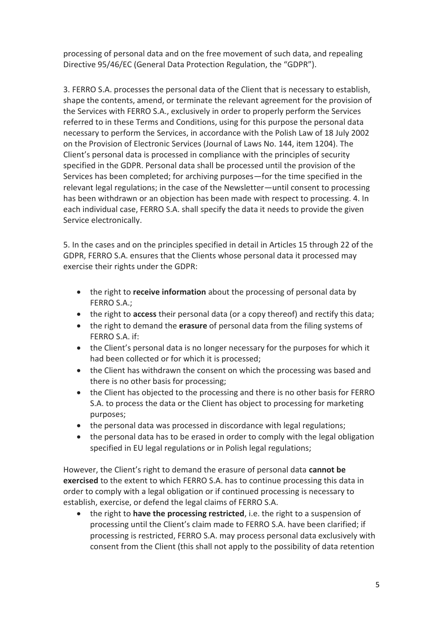processing of personal data and on the free movement of such data, and repealing Directive 95/46/EC (General Data Protection Regulation, the "GDPR").

3. FERRO S.A. processes the personal data of the Client that is necessary to establish, shape the contents, amend, or terminate the relevant agreement for the provision of the Services with FERRO S.A., exclusively in order to properly perform the Services referred to in these Terms and Conditions, using for this purpose the personal data necessary to perform the Services, in accordance with the Polish Law of 18 July 2002 on the Provision of Electronic Services (Journal of Laws No. 144, item 1204). The Client's personal data is processed in compliance with the principles of security specified in the GDPR. Personal data shall be processed until the provision of the Services has been completed; for archiving purposes—for the time specified in the relevant legal regulations; in the case of the Newsletter—until consent to processing has been withdrawn or an objection has been made with respect to processing. 4. In each individual case, FERRO S.A. shall specify the data it needs to provide the given Service electronically.

5. In the cases and on the principles specified in detail in Articles 15 through 22 of the GDPR, FERRO S.A. ensures that the Clients whose personal data it processed may exercise their rights under the GDPR:

- the right to **receive information** about the processing of personal data by FERRO S.A.;
- the right to **access** their personal data (or a copy thereof) and rectify this data;
- the right to demand the **erasure** of personal data from the filing systems of FERRO S.A. if:
- the Client's personal data is no longer necessary for the purposes for which it had been collected or for which it is processed;
- the Client has withdrawn the consent on which the processing was based and there is no other basis for processing;
- the Client has objected to the processing and there is no other basis for FERRO S.A. to process the data or the Client has object to processing for marketing purposes;
- the personal data was processed in discordance with legal regulations;
- the personal data has to be erased in order to comply with the legal obligation specified in EU legal regulations or in Polish legal regulations;

However, the Client's right to demand the erasure of personal data **cannot be exercised** to the extent to which FERRO S.A. has to continue processing this data in order to comply with a legal obligation or if continued processing is necessary to establish, exercise, or defend the legal claims of FERRO S.A.

 the right to **have the processing restricted**, i.e. the right to a suspension of processing until the Client's claim made to FERRO S.A. have been clarified; if processing is restricted, FERRO S.A. may process personal data exclusively with consent from the Client (this shall not apply to the possibility of data retention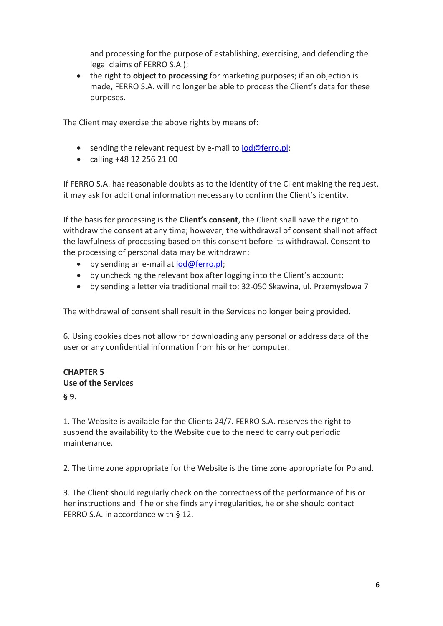and processing for the purpose of establishing, exercising, and defending the legal claims of FERRO S.A.);

 the right to **object to processing** for marketing purposes; if an objection is made, FERRO S.A. will no longer be able to process the Client's data for these purposes.

The Client may exercise the above rights by means of:

- $\bullet$  sending the relevant request by e-mail t[o iod@ferro.pl;](mailto:iod@ferro.pl)
- calling +48 12 256 21 00

If FERRO S.A. has reasonable doubts as to the identity of the Client making the request, it may ask for additional information necessary to confirm the Client's identity.

If the basis for processing is the **Client's consent**, the Client shall have the right to withdraw the consent at any time; however, the withdrawal of consent shall not affect the lawfulness of processing based on this consent before its withdrawal. Consent to the processing of personal data may be withdrawn:

- $\bullet$  by sending an e-mail a[t iod@ferro.pl;](mailto:iod@ferro.pl)
- by unchecking the relevant box after logging into the Client's account;
- by sending a letter via traditional mail to: 32-050 Skawina, ul. Przemysłowa 7

The withdrawal of consent shall result in the Services no longer being provided.

6. Using cookies does not allow for downloading any personal or address data of the user or any confidential information from his or her computer.

#### **CHAPTER 5 Use of the Services**

#### **§ 9.**

1. The Website is available for the Clients 24/7. FERRO S.A. reserves the right to suspend the availability to the Website due to the need to carry out periodic maintenance.

2. The time zone appropriate for the Website is the time zone appropriate for Poland.

3. The Client should regularly check on the correctness of the performance of his or her instructions and if he or she finds any irregularities, he or she should contact FERRO S.A. in accordance with § 12.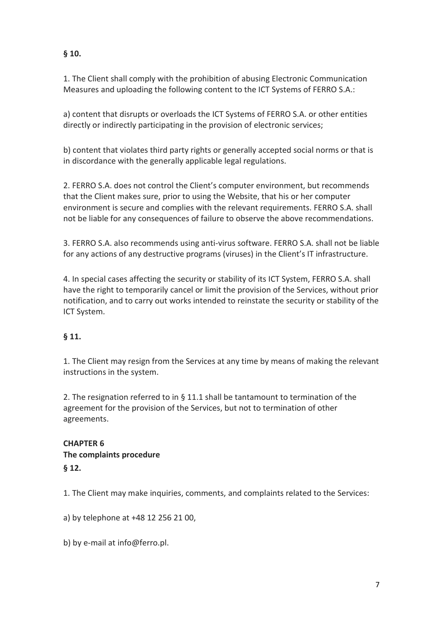### **§ 10.**

1. The Client shall comply with the prohibition of abusing Electronic Communication Measures and uploading the following content to the ICT Systems of FERRO S.A.:

a) content that disrupts or overloads the ICT Systems of FERRO S.A. or other entities directly or indirectly participating in the provision of electronic services;

b) content that violates third party rights or generally accepted social norms or that is in discordance with the generally applicable legal regulations.

2. FERRO S.A. does not control the Client's computer environment, but recommends that the Client makes sure, prior to using the Website, that his or her computer environment is secure and complies with the relevant requirements. FERRO S.A. shall not be liable for any consequences of failure to observe the above recommendations.

3. FERRO S.A. also recommends using anti-virus software. FERRO S.A. shall not be liable for any actions of any destructive programs (viruses) in the Client's IT infrastructure.

4. In special cases affecting the security or stability of its ICT System, FERRO S.A. shall have the right to temporarily cancel or limit the provision of the Services, without prior notification, and to carry out works intended to reinstate the security or stability of the ICT System.

#### **§ 11.**

1. The Client may resign from the Services at any time by means of making the relevant instructions in the system.

2. The resignation referred to in § 11.1 shall be tantamount to termination of the agreement for the provision of the Services, but not to termination of other agreements.

# **CHAPTER 6 The complaints procedure**

## **§ 12.**

1. The Client may make inquiries, comments, and complaints related to the Services:

a) by telephone at +48 12 256 21 00,

b) by e-mail at info@ferro.pl.